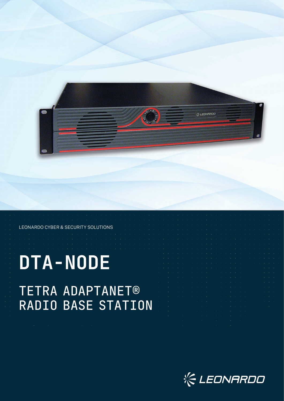

## LEONARDO CYBER & SECURITY SOLUTIONS

# **DTA-NODE** TETRA ADAPTANET® RADIO BASE STATION

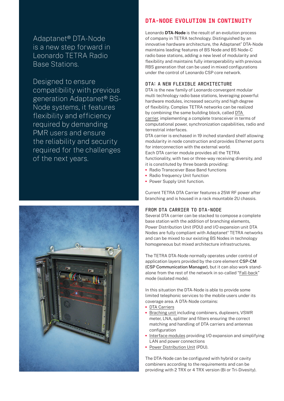Adaptanet® DTA-Node is a new step forward in Leonardo TETRA Radio Base Stations.

Designed to ensure compatibility with previous generation Adaptanet® BS-Node systems, it features flexibility and efficiency required by demanding PMR users and ensure the reliability and security required for the challenges of the next years.



# DTA-NODE EVOLUTION IN CONTINUITY

Leonardo **DTA-Node** is the result of an evolution process of company in TETRA technology. Distinguished by an innovative hardware architecture, the Adaptanet® DTA-Node maintains leading features of BS Node and BS Node-C radio base stations, adding a new level of modularity and flexibility and maintains fully interoperability with previous RBS generation that can be used in mixed configurations under the control of Leonardo CSP core network.

### DTA: A NEW FLEXIBLE ARCHITECTURE

DTA is the new family of Leonardo convergent modular multi technology radio base stations, leveraging powerful hardware modules, increased security and high degree of flexibility. Complex TETRA networks can be realized by combining the same building block, called DTA carrier, implementing a complete transceiver in terms of computational power, synchronization capabilities, radio and terrestrial interfaces.

DTA carrier is enchased in 19 inched standard shelf allowing modularity in node construction and provides Ethernet ports for interconnection with the external world. Each DTA carrier module provides all the TETRA functionality, with two or three-way receiving diversity, and

- it is constituted by three boards providing: **•** Radio Transceiver Base Band functions
- **•** Radio frequency Unit function
- **•** Power Supply Unit function.

Current TETRA DTA Carrier features a 25W RF power after branching and is housed in a rack mountable 2U chassis.

#### FROM DTA CARRIER TO DTA-NODE

Several DTA carrier can be stacked to compose a complete base station with the addition of branching elements, Power Distribution Unit (PDU) and I/O expansion unit DTA Nodes are fully compliant with Adaptanet® TETRA networks and can be mixed to our existing BS Nodes in technology homogeneous but mixed architecture infrastructures.

The TETRA DTA-Node normally operates under control of application layers provided by the core element CSP-CM (CSP Communication Manager), but it can also work standalone from the rest of the network in so-called "Fall-back" mode (isolated mode).

In this situation the DTA-Node is able to provide some limited telephonic services to the mobile users under its coverage area. A DTA-Node contains:

- **•** DTA Carriers
- **•** Braching unit including combiners, duplexers, VSWR meter, LNA, splitter and filters ensuring the correct matching and handling of DTA carriers and antennas configuration
- **•** Interface modules providing I/O expansion and simplifying LAN and power connections
- **•** Power Distribution Unit (PDU).

The DTA-Node can be configured with hybrid or cavity combiners according to the requirements and can be providing with 2 TRX or 4 TRX version (Bi or Tri-Divesity).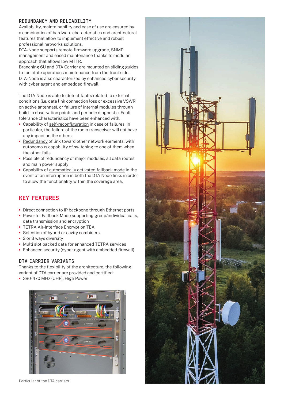## REDUNDANCY AND RELIABILITY

Availability, maintainability and ease of use are ensured by a combination of hardware characteristics and architectural features that allow to implement effective and robust professional networks solutions.

DTA-Node supports remote firmware upgrade, SNMP management and eased maintenance thanks to modular approach that allows low MTTR.

Branching 6U and DTA Carrier are mounted on sliding guides to facilitate operations maintenance from the front side. DTA-Node is also characterized by enhanced cyber security with cyber agent and embedded firewall.

The DTA Node is able to detect faults related to external conditions (i.e. data link connection loss or excessive VSWR on active antennas), or failure of internal modules through build-in observation points and periodic diagnostic. Fault tolerance characteristics have been enhanced with:

- **•** Capability of self-reconfiguration in case of failures. In particular, the failure of the radio transceiver will not have any impact on the others.
- **•** Redundancy of link toward other network elements, with autonomous capability of switching to one of them when the other fails.
- **•** Possible of redundancy of major modules, all data routes and main power supply
- **•** Capability of automatically activated fallback mode in the event of an interruption in both the DTA Node links in order to allow the functionality within the coverage area.

# KEY FEATURES

- **•** Direct connection to IP backbone through Ethernet ports
- **•** Powerful Fallback Mode supporting group/individual calls, data transmission and encryption
- **•** TETRA Air-Interface Encryption TEA
- **•** Selection of hybrid or cavity combiners
- **•** 2 or 3 ways diversity
- **•** Multi slot packed data for enhanced TETRA services
- **•** Enhanced security (cyber agent with embedded firewall)

## DTA CARRIER VARIANTS

Thanks to the flexibility of the architecture, the following variant of DTA carrier are provided and certified:

**•** 380-470 MHz (UHF), High Power



Particular of the DTA carriers